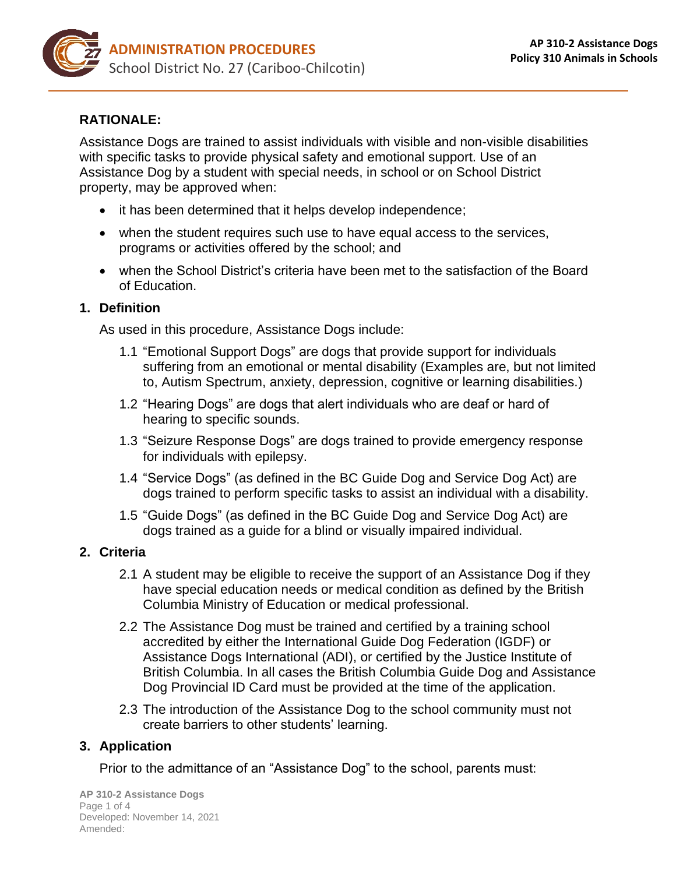

### **RATIONALE:**

Assistance Dogs are trained to assist individuals with visible and non-visible disabilities with specific tasks to provide physical safety and emotional support. Use of an Assistance Dog by a student with special needs, in school or on School District property, may be approved when:

- it has been determined that it helps develop independence;
- when the student requires such use to have equal access to the services, programs or activities offered by the school; and
- when the School District's criteria have been met to the satisfaction of the Board of Education.

#### **1. Definition**

As used in this procedure, Assistance Dogs include:

- 1.1 "Emotional Support Dogs" are dogs that provide support for individuals suffering from an emotional or mental disability (Examples are, but not limited to, Autism Spectrum, anxiety, depression, cognitive or learning disabilities.)
- 1.2 "Hearing Dogs" are dogs that alert individuals who are deaf or hard of hearing to specific sounds.
- 1.3 "Seizure Response Dogs" are dogs trained to provide emergency response for individuals with epilepsy.
- 1.4 "Service Dogs" (as defined in the BC Guide Dog and Service Dog Act) are dogs trained to perform specific tasks to assist an individual with a disability.
- 1.5 "Guide Dogs" (as defined in the BC Guide Dog and Service Dog Act) are dogs trained as a guide for a blind or visually impaired individual.

### **2. Criteria**

- 2.1 A student may be eligible to receive the support of an Assistance Dog if they have special education needs or medical condition as defined by the British Columbia Ministry of Education or medical professional.
- 2.2 The Assistance Dog must be trained and certified by a training school accredited by either the International Guide Dog Federation (IGDF) or Assistance Dogs International (ADI), or certified by the Justice Institute of British Columbia. In all cases the British Columbia Guide Dog and Assistance Dog Provincial ID Card must be provided at the time of the application.
- 2.3 The introduction of the Assistance Dog to the school community must not create barriers to other students' learning.

### **3. Application**

Prior to the admittance of an "Assistance Dog" to the school, parents must: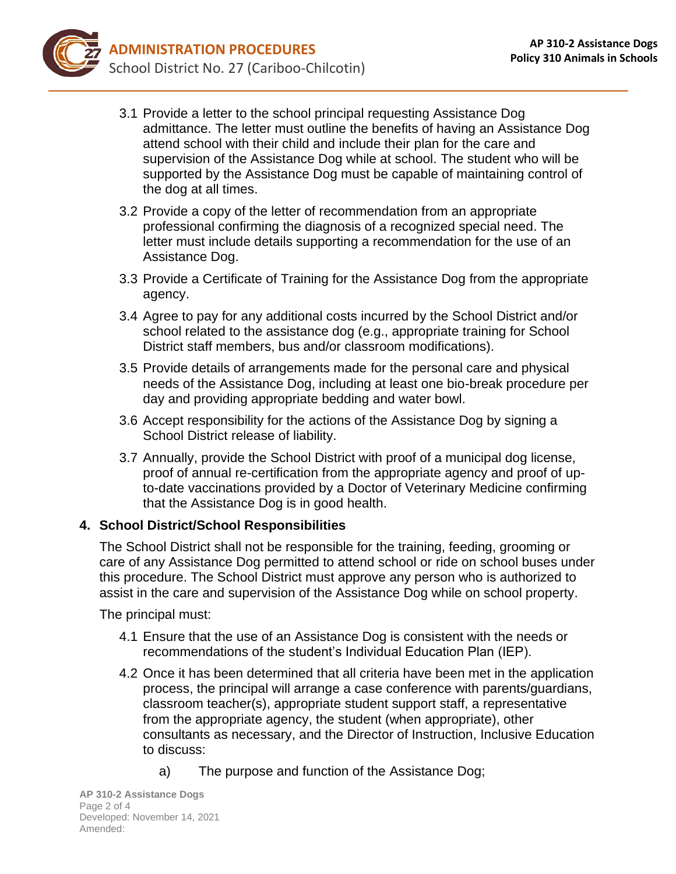- 3.1 Provide a letter to the school principal requesting Assistance Dog admittance. The letter must outline the benefits of having an Assistance Dog attend school with their child and include their plan for the care and supervision of the Assistance Dog while at school. The student who will be supported by the Assistance Dog must be capable of maintaining control of the dog at all times.
- 3.2 Provide a copy of the letter of recommendation from an appropriate professional confirming the diagnosis of a recognized special need. The letter must include details supporting a recommendation for the use of an Assistance Dog.
- 3.3 Provide a Certificate of Training for the Assistance Dog from the appropriate agency.
- 3.4 Agree to pay for any additional costs incurred by the School District and/or school related to the assistance dog (e.g., appropriate training for School District staff members, bus and/or classroom modifications).
- 3.5 Provide details of arrangements made for the personal care and physical needs of the Assistance Dog, including at least one bio-break procedure per day and providing appropriate bedding and water bowl.
- 3.6 Accept responsibility for the actions of the Assistance Dog by signing a School District release of liability.
- 3.7 Annually, provide the School District with proof of a municipal dog license, proof of annual re-certification from the appropriate agency and proof of upto-date vaccinations provided by a Doctor of Veterinary Medicine confirming that the Assistance Dog is in good health.

# **4. School District/School Responsibilities**

The School District shall not be responsible for the training, feeding, grooming or care of any Assistance Dog permitted to attend school or ride on school buses under this procedure. The School District must approve any person who is authorized to assist in the care and supervision of the Assistance Dog while on school property.

The principal must:

- 4.1 Ensure that the use of an Assistance Dog is consistent with the needs or recommendations of the student's Individual Education Plan (IEP).
- 4.2 Once it has been determined that all criteria have been met in the application process, the principal will arrange a case conference with parents/guardians, classroom teacher(s), appropriate student support staff, a representative from the appropriate agency, the student (when appropriate), other consultants as necessary, and the Director of Instruction, Inclusive Education to discuss:
	- a) The purpose and function of the Assistance Dog;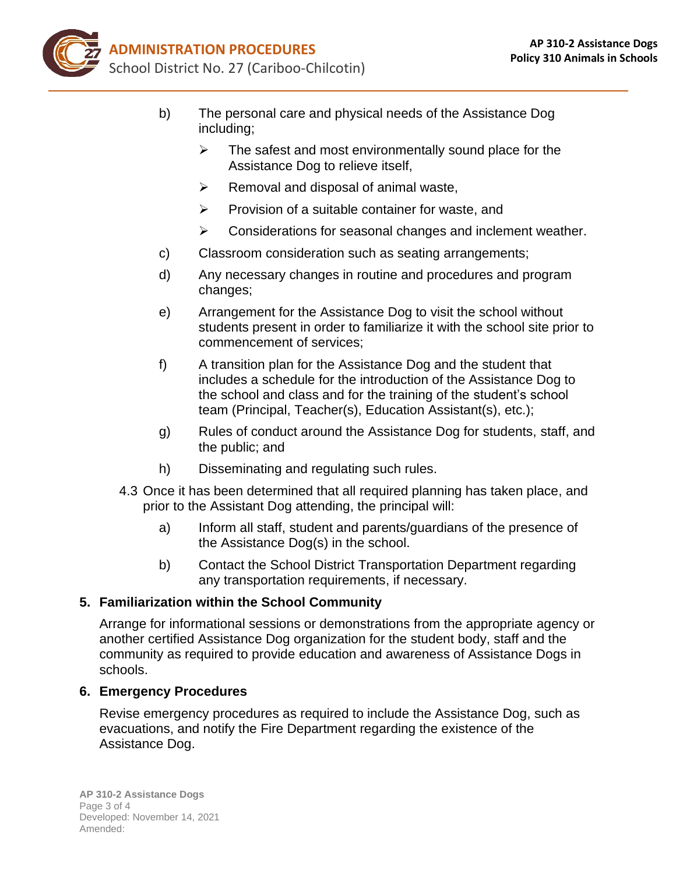

- b) The personal care and physical needs of the Assistance Dog including;
	- $\triangleright$  The safest and most environmentally sound place for the Assistance Dog to relieve itself,
	- $\triangleright$  Removal and disposal of animal waste,
	- ➢ Provision of a suitable container for waste, and
	- ➢ Considerations for seasonal changes and inclement weather.
- c) Classroom consideration such as seating arrangements;
- d) Any necessary changes in routine and procedures and program changes;
- e) Arrangement for the Assistance Dog to visit the school without students present in order to familiarize it with the school site prior to commencement of services;
- f) A transition plan for the Assistance Dog and the student that includes a schedule for the introduction of the Assistance Dog to the school and class and for the training of the student's school team (Principal, Teacher(s), Education Assistant(s), etc.);
- g) Rules of conduct around the Assistance Dog for students, staff, and the public; and
- h) Disseminating and regulating such rules.
- 4.3 Once it has been determined that all required planning has taken place, and prior to the Assistant Dog attending, the principal will:
	- a) Inform all staff, student and parents/guardians of the presence of the Assistance Dog(s) in the school.
	- b) Contact the School District Transportation Department regarding any transportation requirements, if necessary.

### **5. Familiarization within the School Community**

Arrange for informational sessions or demonstrations from the appropriate agency or another certified Assistance Dog organization for the student body, staff and the community as required to provide education and awareness of Assistance Dogs in schools.

### **6. Emergency Procedures**

Revise emergency procedures as required to include the Assistance Dog, such as evacuations, and notify the Fire Department regarding the existence of the Assistance Dog.